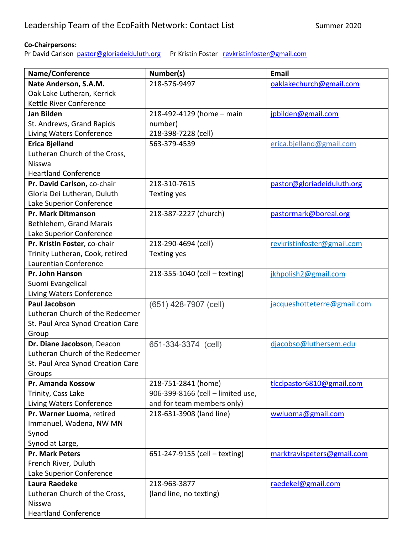## **Co-Chairpersons:**

Pr David Carlson [pastor@gloriadeiduluth.org](mailto:pastor@gloriadeiduluth.org) Pr Kristin Foster [revkristinfoster@gmail.com](mailto:revkristinfoster@gmail.com)

| Name/Conference                   | Number(s)                         | Email                       |
|-----------------------------------|-----------------------------------|-----------------------------|
| Nate Anderson, S.A.M.             | 218-576-9497                      | oaklakechurch@gmail.com     |
| Oak Lake Lutheran, Kerrick        |                                   |                             |
| Kettle River Conference           |                                   |                             |
| <b>Jan Bilden</b>                 | 218-492-4129 (home - main         | jpbilden@gmail.com          |
| St. Andrews, Grand Rapids         | number)                           |                             |
| Living Waters Conference          | 218-398-7228 (cell)               |                             |
| <b>Erica Bjelland</b>             | 563-379-4539                      | erica.bjelland@gmail.com    |
| Lutheran Church of the Cross,     |                                   |                             |
| Nisswa                            |                                   |                             |
| <b>Heartland Conference</b>       |                                   |                             |
| Pr. David Carlson, co-chair       | 218-310-7615                      | pastor@gloriadeiduluth.org  |
| Gloria Dei Lutheran, Duluth       | Texting yes                       |                             |
| Lake Superior Conference          |                                   |                             |
| <b>Pr. Mark Ditmanson</b>         | 218-387-2227 (church)             | pastormark@boreal.org       |
| Bethlehem, Grand Marais           |                                   |                             |
| Lake Superior Conference          |                                   |                             |
| Pr. Kristin Foster, co-chair      | 218-290-4694 (cell)               | revkristinfoster@gmail.com  |
| Trinity Lutheran, Cook, retired   | <b>Texting yes</b>                |                             |
| Laurentian Conference             |                                   |                             |
| Pr. John Hanson                   | 218-355-1040 (cell - texting)     | jkhpolish2@gmail.com        |
| Suomi Evangelical                 |                                   |                             |
| Living Waters Conference          |                                   |                             |
| <b>Paul Jacobson</b>              | (651) 428-7907 (cell)             | jacqueshotteterre@gmail.com |
| Lutheran Church of the Redeemer   |                                   |                             |
| St. Paul Area Synod Creation Care |                                   |                             |
| Group                             |                                   |                             |
| Dr. Diane Jacobson, Deacon        | 651-334-3374 (cell)               | djacobso@luthersem.edu      |
| Lutheran Church of the Redeemer   |                                   |                             |
| St. Paul Area Synod Creation Care |                                   |                             |
| Groups                            |                                   |                             |
| Pr. Amanda Kossow                 | 218-751-2841 (home)               | tlcclpastor6810@gmail.com   |
| Trinity, Cass Lake                | 906-399-8166 (cell - limited use, |                             |
| Living Waters Conference          | and for team members only)        |                             |
| Pr. Warner Luoma, retired         | 218-631-3908 (land line)          | wwluoma@gmail.com           |
| Immanuel, Wadena, NW MN           |                                   |                             |
| Synod                             |                                   |                             |
| Synod at Large,                   |                                   |                             |
| <b>Pr. Mark Peters</b>            | 651-247-9155 (cell - texting)     | marktravispeters@gmail.com  |
| French River, Duluth              |                                   |                             |
| Lake Superior Conference          |                                   |                             |
| Laura Raedeke                     | 218-963-3877                      | raedekel@gmail.com          |
| Lutheran Church of the Cross,     | (land line, no texting)           |                             |
| Nisswa                            |                                   |                             |
| <b>Heartland Conference</b>       |                                   |                             |